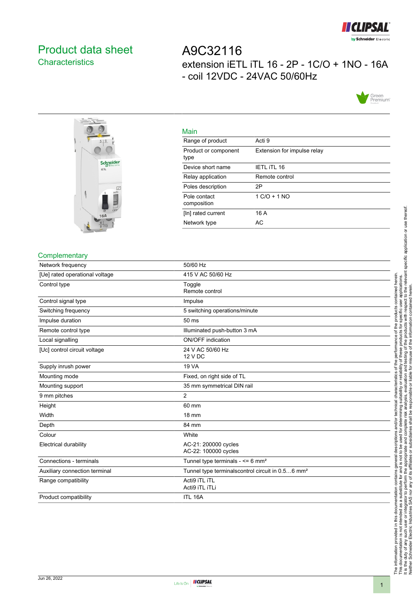

# <span id="page-0-0"></span>Product data sheet **Characteristics**

# A9C32116 extension iETL iTL 16 - 2P - 1C/O + 1NO - 16A - coil 12VDC - 24VAC 50/60Hz





| Main                         |                             |
|------------------------------|-----------------------------|
| Range of product             | Acti 9                      |
| Product or component<br>type | Extension for impulse relay |
| Device short name            | <b>IETL ITL 16</b>          |
| Relay application            | Remote control              |
| Poles description            | 2P                          |
| Pole contact<br>composition  | $1 C/O + 1 NO$              |
| [In] rated current           | 16 A                        |
| Network type                 | AC                          |
|                              |                             |

# **Complementary**

| Network frequency              | 50/60 Hz                                                     |
|--------------------------------|--------------------------------------------------------------|
| [Ue] rated operational voltage | 415 V AC 50/60 Hz                                            |
| Control type                   | Toggle<br>Remote control                                     |
| Control signal type            | Impulse                                                      |
| Switching frequency            | 5 switching operations/minute                                |
| Impulse duration               | 50 ms                                                        |
| Remote control type            | Illuminated push-button 3 mA                                 |
| Local signalling               | ON/OFF indication                                            |
| [Uc] control circuit voltage   | 24 V AC 50/60 Hz<br>12 V DC                                  |
| Supply inrush power            | <b>19 VA</b>                                                 |
| Mounting mode                  | Fixed, on right side of TL                                   |
| Mounting support               | 35 mm symmetrical DIN rail                                   |
| 9 mm pitches                   | $\overline{2}$                                               |
| Height                         | 60 mm                                                        |
| Width                          | <b>18 mm</b>                                                 |
| Depth                          | 84 mm                                                        |
| Colour                         | White                                                        |
| <b>Electrical durability</b>   | AC-21: 200000 cycles<br>AC-22: 100000 cycles                 |
| Connections - terminals        | Tunnel type terminals - $\leq 6$ mm <sup>2</sup>             |
| Auxiliary connection terminal  | Tunnel type terminalscontrol circuit in 0.56 mm <sup>2</sup> |
| Range compatibility            | Acti9 iTL iTL<br>Acti9 iTL iTLi                              |
| Product compatibility          | ITL 16A                                                      |